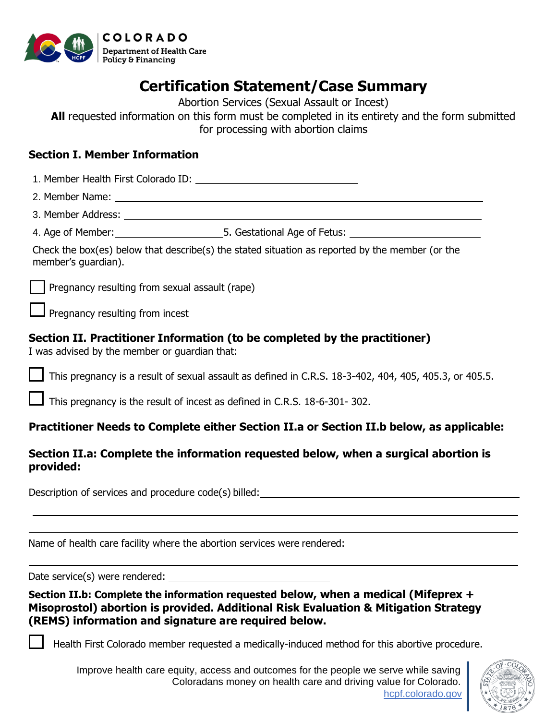

## **Certification Statement/Case Summary**

Abortion Services (Sexual Assault or Incest)

**All** requested information on this form must be completed in its entirety and the form submitted for processing with abortion claims

## **Section I. Member Information**

| Section 1. Member Information                                                                                                                                                                                                     |  |  |  |
|-----------------------------------------------------------------------------------------------------------------------------------------------------------------------------------------------------------------------------------|--|--|--|
|                                                                                                                                                                                                                                   |  |  |  |
|                                                                                                                                                                                                                                   |  |  |  |
|                                                                                                                                                                                                                                   |  |  |  |
|                                                                                                                                                                                                                                   |  |  |  |
| Check the box(es) below that describe(s) the stated situation as reported by the member (or the<br>member's guardian).                                                                                                            |  |  |  |
| Pregnancy resulting from sexual assault (rape)                                                                                                                                                                                    |  |  |  |
| $\Box$ Pregnancy resulting from incest                                                                                                                                                                                            |  |  |  |
| Section II. Practitioner Information (to be completed by the practitioner)<br>I was advised by the member or guardian that:                                                                                                       |  |  |  |
| $\Box$ This pregnancy is a result of sexual assault as defined in C.R.S. 18-3-402, 404, 405, 405.3, or 405.5.                                                                                                                     |  |  |  |
| $\Box$ This pregnancy is the result of incest as defined in C.R.S. 18-6-301-302.                                                                                                                                                  |  |  |  |
| Practitioner Needs to Complete either Section II.a or Section II.b below, as applicable:                                                                                                                                          |  |  |  |
| Section II.a: Complete the information requested below, when a surgical abortion is<br>provided:                                                                                                                                  |  |  |  |
|                                                                                                                                                                                                                                   |  |  |  |
| Name of health care facility where the abortion services were rendered:                                                                                                                                                           |  |  |  |
|                                                                                                                                                                                                                                   |  |  |  |
| Section II.b: Complete the information requested below, when a medical (Mifeprex +<br>Misoprostol) abortion is provided. Additional Risk Evaluation & Mitigation Strategy<br>(REMS) information and signature are required below. |  |  |  |

Health First Colorado member requested a medically-induced method for this abortive procedure.

Improve health care equity, access and outcomes for the people we serve while saving Coloradans money on health care and driving value for Colorado. [hcpf.colorado.gov](https://hcpf.colorado.gov/)